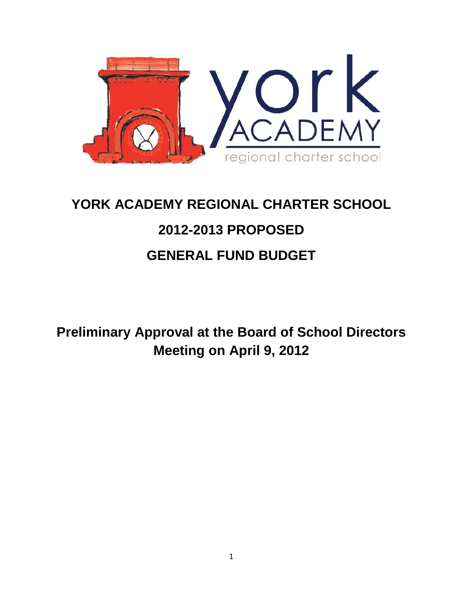

# **YORK ACADEMY REGIONAL CHARTER SCHOOL 2012-2013 PROPOSED GENERAL FUND BUDGET**

**Preliminary Approval at the Board of School Directors Meeting on April 9, 2012**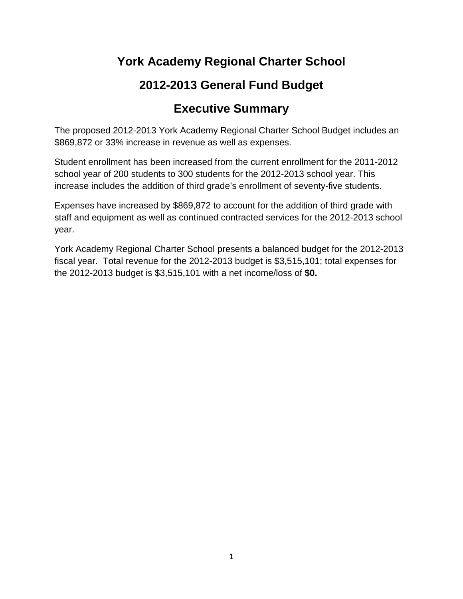## **York Academy Regional Charter School**

## **2012-2013 General Fund Budget**

## **Executive Summary**

The proposed 2012-2013 York Academy Regional Charter School Budget includes an \$869,872 or 33% increase in revenue as well as expenses.

Student enrollment has been increased from the current enrollment for the 2011-2012 school year of 200 students to 300 students for the 2012-2013 school year. This increase includes the addition of third grade's enrollment of seventy-five students.

Expenses have increased by \$869,872 to account for the addition of third grade with staff and equipment as well as continued contracted services for the 2012-2013 school year.

York Academy Regional Charter School presents a balanced budget for the 2012-2013 fiscal year. Total revenue for the 2012-2013 budget is \$3,515,101; total expenses for the 2012-2013 budget is \$3,515,101 with a net income/loss of **\$0.**